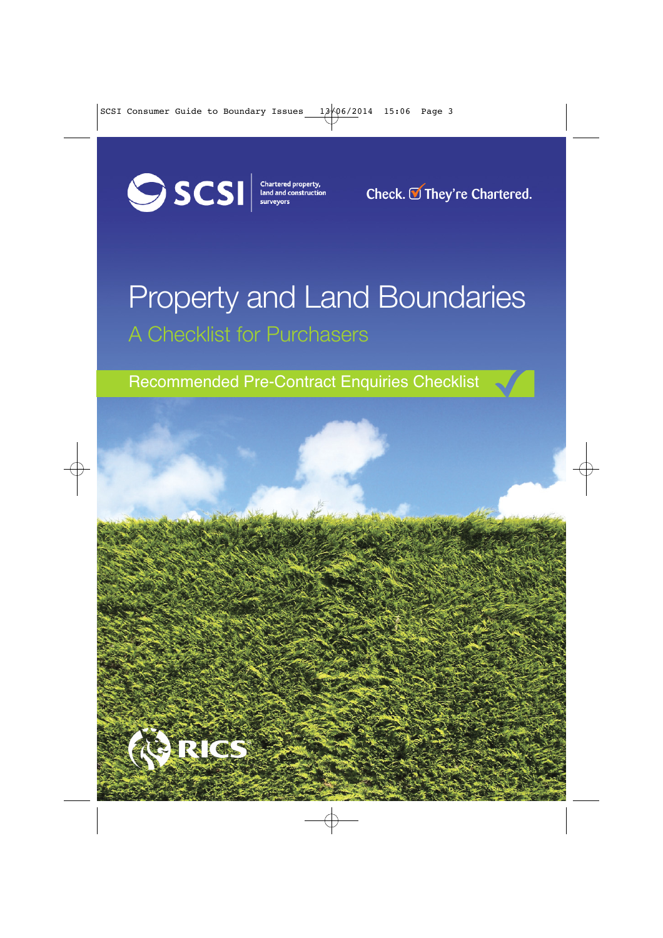

**Check. They're Chartered.**

## Property and Land Boundaries A Checklist for Purchasers

Recommended Pre-Contract Enquiries Checklist

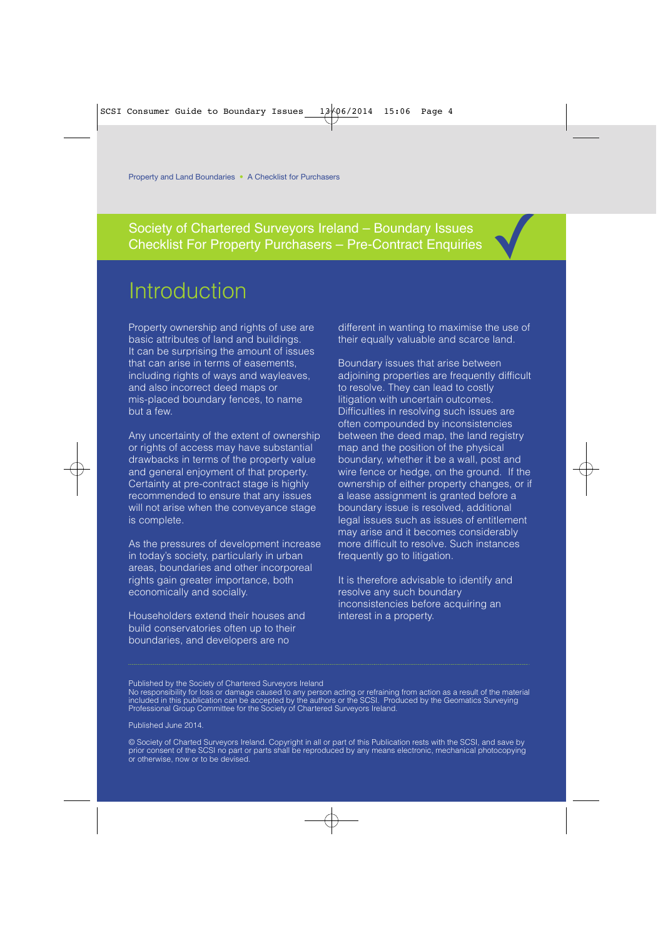Society of Chartered Surveyors Ireland – Boundary Issues Society of Chartered Surveyors Ireland – Boundary Issues<br>Checklist For Property Purchasers – Pre-Contract Enquiries

## Introduction

Property ownership and rights of use are basic attributes of land and buildings. It can be surprising the amount of issues that can arise in terms of easements, including rights of ways and wayleaves. and also incorrect deed maps or mis-placed boundary fences, to name but a few.

Any uncertainty of the extent of ownership or rights of access may have substantial drawbacks in terms of the property value and general enjoyment of that property. Certainty at pre-contract stage is highly recommended to ensure that any issues will not arise when the conveyance stage is complete.

As the pressures of development increase in today's society, particularly in urban areas, boundaries and other incorporeal rights gain greater importance, both economically and socially.

Householders extend their houses and build conservatories often up to their boundaries, and developers are no

different in wanting to maximise the use of their equally valuable and scarce land.

Boundary issues that arise between adjoining properties are frequently difficult to resolve. They can lead to costly litigation with uncertain outcomes. Difficulties in resolving such issues are often compounded by inconsistencies between the deed map, the land registry map and the position of the physical boundary, whether it be a wall, post and wire fence or hedge, on the ground. If the ownership of either property changes, or if a lease assignment is granted before a boundary issue is resolved, additional legal issues such as issues of entitlement may arise and it becomes considerably more difficult to resolve. Such instances frequently go to litigation.

It is therefore advisable to identify and resolve any such boundary inconsistencies before acquiring an interest in a property.

Published by the Society of Chartered Surveyors Ireland

No responsibility for loss or damage caused to any person acting or refraining from action as a result of the material included in this publication can be accepted by the authors or the SCSI. Produced by the Geomatics Surveying Professional Group Committee for the Society of Chartered Surveyors Ireland.

Published June 2014.

© Society of Charted Surveyors Ireland. Copyright in all or part of this Publication rests with the SCSI, and save by prior consent of the SCSI no part or parts shall be reproduced by any means electronic, mechanical photocopying or otherwise, now or to be devised.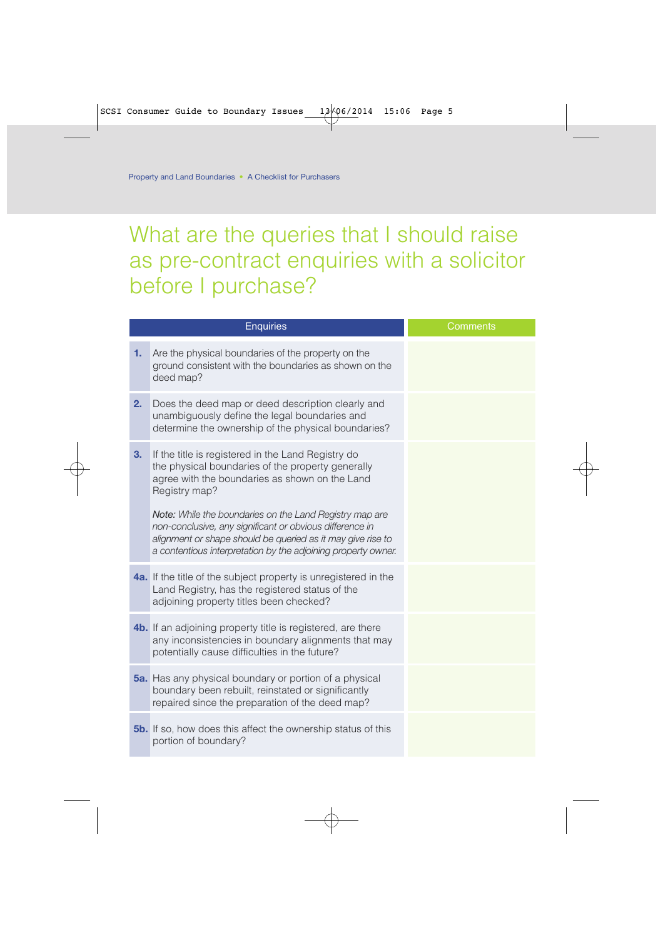## What are the queries that I should raise as pre-contract enquiries with a solicitor before I purchase?

| <b>Enquiries</b> |                                                                                                                                                                                                                                                                                                                                                                                                                                   | Comments |
|------------------|-----------------------------------------------------------------------------------------------------------------------------------------------------------------------------------------------------------------------------------------------------------------------------------------------------------------------------------------------------------------------------------------------------------------------------------|----------|
| 1.               | Are the physical boundaries of the property on the<br>ground consistent with the boundaries as shown on the<br>deed map?                                                                                                                                                                                                                                                                                                          |          |
| 2.               | Does the deed map or deed description clearly and<br>unambiguously define the legal boundaries and<br>determine the ownership of the physical boundaries?                                                                                                                                                                                                                                                                         |          |
| 3.               | If the title is registered in the Land Registry do<br>the physical boundaries of the property generally<br>agree with the boundaries as shown on the Land<br>Registry map?<br>Note: While the boundaries on the Land Registry map are<br>non-conclusive, any significant or obvious difference in<br>alignment or shape should be queried as it may give rise to<br>a contentious interpretation by the adjoining property owner. |          |
|                  | <b>4a.</b> If the title of the subject property is unregistered in the<br>Land Registry, has the registered status of the<br>adjoining property titles been checked?                                                                                                                                                                                                                                                              |          |
|                  | <b>4b.</b> If an adjoining property title is registered, are there<br>any inconsistencies in boundary alignments that may<br>potentially cause difficulties in the future?                                                                                                                                                                                                                                                        |          |
|                  | <b>5a.</b> Has any physical boundary or portion of a physical<br>boundary been rebuilt, reinstated or significantly<br>repaired since the preparation of the deed map?                                                                                                                                                                                                                                                            |          |
|                  | <b>5b.</b> If so, how does this affect the ownership status of this<br>portion of boundary?                                                                                                                                                                                                                                                                                                                                       |          |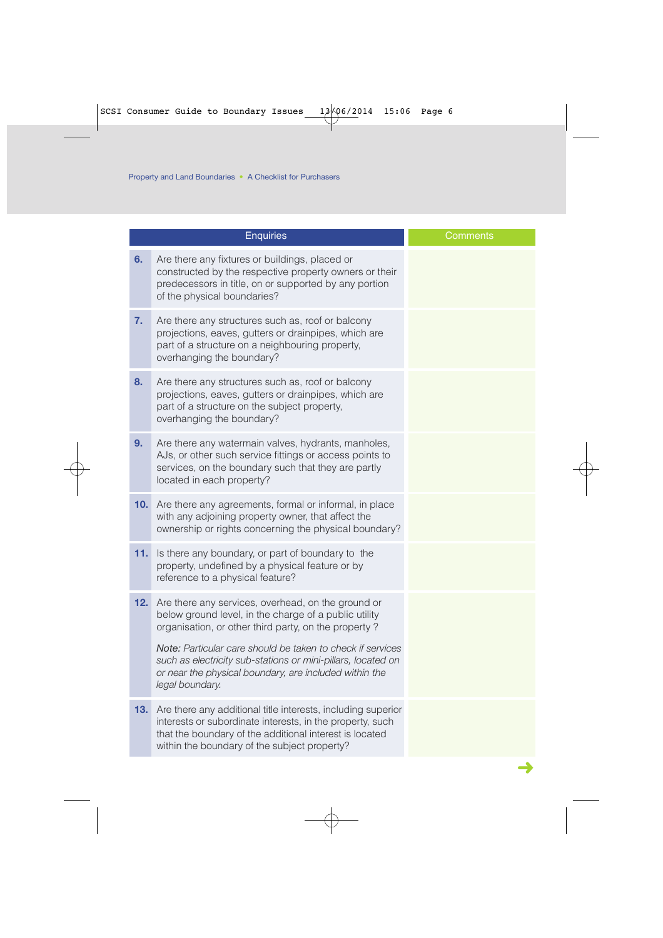|     | <b>Enquiries</b>                                                                                                                                                                                                                     | Comments |
|-----|--------------------------------------------------------------------------------------------------------------------------------------------------------------------------------------------------------------------------------------|----------|
| 6.  | Are there any fixtures or buildings, placed or<br>constructed by the respective property owners or their<br>predecessors in title, on or supported by any portion<br>of the physical boundaries?                                     |          |
| 7.  | Are there any structures such as, roof or balcony<br>projections, eaves, gutters or drainpipes, which are<br>part of a structure on a neighbouring property,<br>overhanging the boundary?                                            |          |
| 8.  | Are there any structures such as, roof or balcony<br>projections, eaves, gutters or drainpipes, which are<br>part of a structure on the subject property,<br>overhanging the boundary?                                               |          |
| 9.  | Are there any watermain valves, hydrants, manholes,<br>AJs, or other such service fittings or access points to<br>services, on the boundary such that they are partly<br>located in each property?                                   |          |
| 10. | Are there any agreements, formal or informal, in place<br>with any adjoining property owner, that affect the<br>ownership or rights concerning the physical boundary?                                                                |          |
| 11. | Is there any boundary, or part of boundary to the<br>property, undefined by a physical feature or by<br>reference to a physical feature?                                                                                             |          |
| 12. | Are there any services, overhead, on the ground or<br>below ground level, in the charge of a public utility<br>organisation, or other third party, on the property?                                                                  |          |
|     | Note: Particular care should be taken to check if services<br>such as electricity sub-stations or mini-pillars, located on<br>or near the physical boundary, are included within the<br>legal boundary.                              |          |
| 13. | Are there any additional title interests, including superior<br>interests or subordinate interests, in the property, such<br>that the boundary of the additional interest is located<br>within the boundary of the subject property? |          |
|     |                                                                                                                                                                                                                                      |          |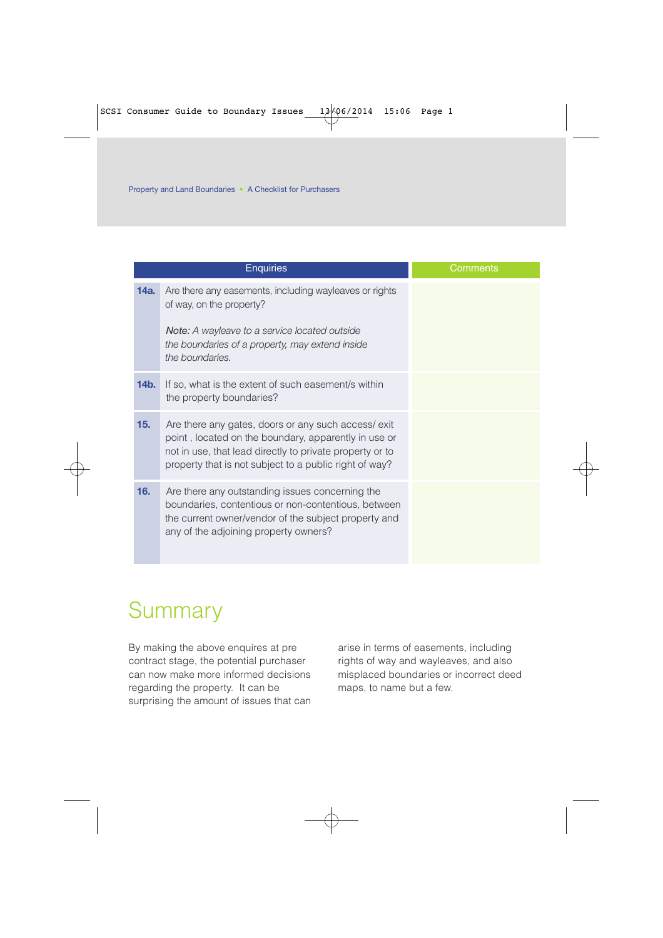|         | <b>Enquiries</b>                                                                                                                                                                                                                 | Comments |
|---------|----------------------------------------------------------------------------------------------------------------------------------------------------------------------------------------------------------------------------------|----------|
| 14a.    | Are there any easements, including wayleaves or rights<br>of way, on the property?<br>Note: A wayleave to a service located outside<br>the boundaries of a property, may extend inside<br>the boundaries.                        |          |
| $14b$ . | If so, what is the extent of such easement/s within<br>the property boundaries?                                                                                                                                                  |          |
| 15.     | Are there any gates, doors or any such access/exit<br>point, located on the boundary, apparently in use or<br>not in use, that lead directly to private property or to<br>property that is not subject to a public right of way? |          |
| 16.     | Are there any outstanding issues concerning the<br>boundaries, contentious or non-contentious, between<br>the current owner/vendor of the subject property and<br>any of the adjoining property owners?                          |          |

## **Summary**

By making the above enquires at pre contract stage, the potential purchaser can now make more informed decisions regarding the property. It can be surprising the amount of issues that can arise in terms of easements, including rights of way and wayleaves, and also misplaced boundaries or incorrect deed maps, to name but a few.